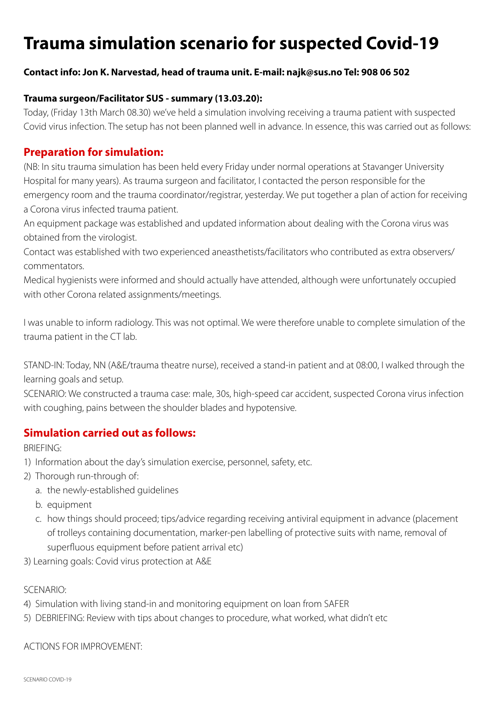# **Trauma simulation scenario for suspected Covid-19**

### **Contact info: Jon K. Narvestad, head of trauma unit. E-mail: najk@sus.no Tel: 908 06 502**

#### **Trauma surgeon/Facilitator SUS - summary (13.03.20):**

Today, (Friday 13th March 08.30) we've held a simulation involving receiving a trauma patient with suspected Covid virus infection. The setup has not been planned well in advance. In essence, this was carried out as follows:

## **Preparation for simulation:**

(NB: In situ trauma simulation has been held every Friday under normal operations at Stavanger University Hospital for many years). As trauma surgeon and facilitator, I contacted the person responsible for the emergency room and the trauma coordinator/registrar, yesterday. We put together a plan of action for receiving a Corona virus infected trauma patient.

An equipment package was established and updated information about dealing with the Corona virus was obtained from the virologist.

Contact was established with two experienced aneasthetists/facilitators who contributed as extra observers/ commentators.

Medical hygienists were informed and should actually have attended, although were unfortunately occupied with other Corona related assignments/meetings.

I was unable to inform radiology. This was not optimal. We were therefore unable to complete simulation of the trauma patient in the CT lab.

STAND-IN: Today, NN (A&E/trauma theatre nurse), received a stand-in patient and at 08:00, I walked through the learning goals and setup.

SCENARIO: We constructed a trauma case: male, 30s, high-speed car accident, suspected Corona virus infection with coughing, pains between the shoulder blades and hypotensive.

## **Simulation carried out as follows:**

BRIEFING:

- 1) Information about the day's simulation exercise, personnel, safety, etc.
- 2) Thorough run-through of:
	- a. the newly-established guidelines
	- b. equipment
	- c. how things should proceed; tips/advice regarding receiving antiviral equipment in advance (placement of trolleys containing documentation, marker-pen labelling of protective suits with name, removal of superfluous equipment before patient arrival etc)
- 3) Learning goals: Covid virus protection at A&E

#### SCENARIO:

- 4) Simulation with living stand-in and monitoring equipment on loan from SAFER
- 5) DEBRIEFING: Review with tips about changes to procedure, what worked, what didn't etc

#### ACTIONS FOR IMPROVEMENT: